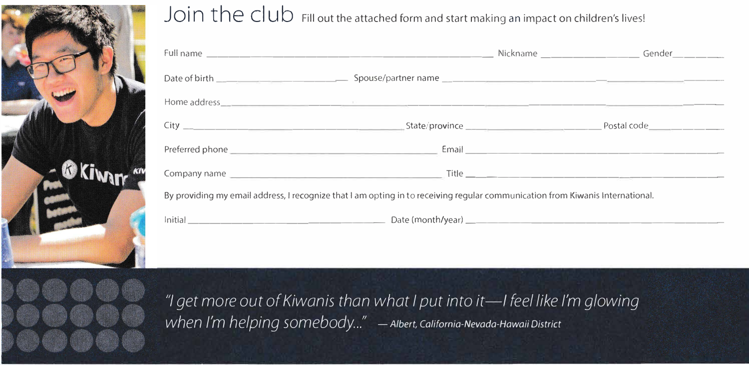

## Join the club Fill out the attached form and start making an impact on children's lives!

|                                                                                                                               | Nickname _____________________Gender________ |
|-------------------------------------------------------------------------------------------------------------------------------|----------------------------------------------|
|                                                                                                                               |                                              |
|                                                                                                                               |                                              |
|                                                                                                                               |                                              |
|                                                                                                                               |                                              |
|                                                                                                                               |                                              |
| By providing my email address, I recognize that I am opting in to receiving regular communication from Kiwanis International. |                                              |
|                                                                                                                               |                                              |

"I get more out of Kiwanis than what I put into it-I feel like I'm glowing when I'm helping somebody..." - Albert, California-Nevada-Hawaii District